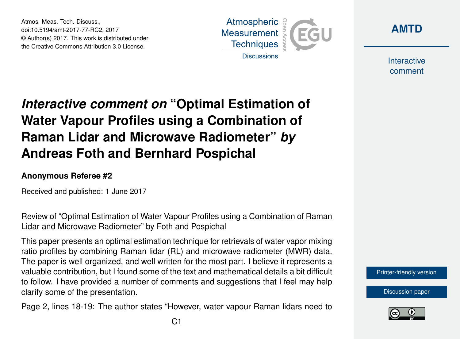Atmos. Meas. Tech. Discuss., doi:10.5194/amt-2017-77-RC2, 2017 © Author(s) 2017. This work is distributed under the Creative Commons Attribution 3.0 License.





**Interactive** comment

# *Interactive comment on* **"Optimal Estimation of Water Vapour Profiles using a Combination of Raman Lidar and Microwave Radiometer"** *by* **Andreas Foth and Bernhard Pospichal**

#### **Anonymous Referee #2**

Received and published: 1 June 2017

Review of "Optimal Estimation of Water Vapour Profiles using a Combination of Raman Lidar and Microwave Radiometer" by Foth and Pospichal

This paper presents an optimal estimation technique for retrievals of water vapor mixing ratio profiles by combining Raman lidar (RL) and microwave radiometer (MWR) data. The paper is well organized, and well written for the most part. I believe it represents a valuable contribution, but I found some of the text and mathematical details a bit difficult to follow. I have provided a number of comments and suggestions that I feel may help clarify some of the presentation.

Page 2, lines 18-19: The author states "However, water vapour Raman lidars need to



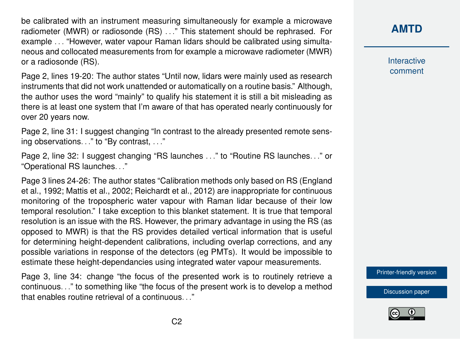be calibrated with an instrument measuring simultaneously for example a microwave radiometer (MWR) or radiosonde (RS) . . ." This statement should be rephrased. For example . . . "However, water vapour Raman lidars should be calibrated using simultaneous and collocated measurements from for example a microwave radiometer (MWR) or a radiosonde (RS).

Page 2, lines 19-20: The author states "Until now, lidars were mainly used as research instruments that did not work unattended or automatically on a routine basis." Although, the author uses the word "mainly" to qualify his statement it is still a bit misleading as there is at least one system that I'm aware of that has operated nearly continuously for over 20 years now.

Page 2, line 31: I suggest changing "In contrast to the already presented remote sensing observations. . ." to "By contrast, . . ."

Page 2, line 32: I suggest changing "RS launches . . ." to "Routine RS launches. . ." or "Operational RS launches. . ."

Page 3 lines 24-26: The author states "Calibration methods only based on RS (England et al., 1992; Mattis et al., 2002; Reichardt et al., 2012) are inappropriate for continuous monitoring of the tropospheric water vapour with Raman lidar because of their low temporal resolution." I take exception to this blanket statement. It is true that temporal resolution is an issue with the RS. However, the primary advantage in using the RS (as opposed to MWR) is that the RS provides detailed vertical information that is useful for determining height-dependent calibrations, including overlap corrections, and any possible variations in response of the detectors (eg PMTs). It would be impossible to estimate these height-dependancies using integrated water vapour measurements.

Page 3, line 34: change "the focus of the presented work is to routinely retrieve a continuous. . ." to something like "the focus of the present work is to develop a method that enables routine retrieval of a continuous. . ."

## **[AMTD](http://www.atmos-meas-tech-discuss.net/)**

**Interactive** comment

[Printer-friendly version](http://www.atmos-meas-tech-discuss.net/amt-2017-77/amt-2017-77-RC2-print.pdf)

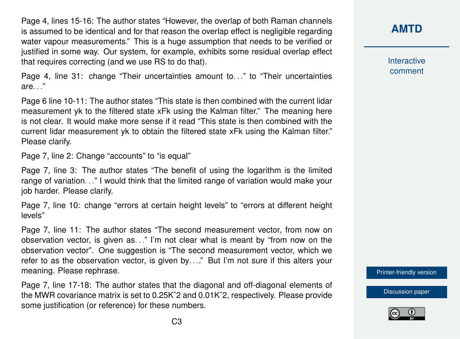Page 4, lines 15-16: The author states "However, the overlap of both Raman channels is assumed to be identical and for that reason the overlap effect is negligible regarding water vapour measurements." This is a huge assumption that needs to be verified or justified in some way. Our system, for example, exhibits some residual overlap effect that requires correcting (and we use RS to do that).

Page 4, line 31: change "Their uncertainties amount to. . ." to "Their uncertainties are. . ."

Page 6 line 10-11: The author states "This state is then combined with the current lidar measurement yk to the filtered state xFk using the Kalman filter." The meaning here is not clear. It would make more sense if it read "This state is then combined with the current lidar measurement yk to obtain the filtered state xFk using the Kalman filter." Please clarify.

Page 7, line 2: Change "accounts" to "is equal"

Page 7, line 3: The author states "The benefit of using the logarithm is the limited range of variation. . ." I would think that the limited range of variation would make your job harder. Please clarify.

Page 7, line 10: change "errors at certain height levels" to "errors at different height levels"

Page 7, line 11: The author states "The second measurement vector, from now on observation vector, is given as. . ." I'm not clear what is meant by "from now on the observation vector". One suggestion is "The second measurement vector, which we refer to as the observation vector, is given by. . .." But I'm not sure if this alters your meaning. Please rephrase.

Page 7, line 17-18: The author states that the diagonal and off-diagonal elements of the MWR covariance matrix is set to 0.25Kˆ2 and 0.01Kˆ2, respectively. Please provide some justification (or reference) for these numbers.

**[AMTD](http://www.atmos-meas-tech-discuss.net/)**

**Interactive** comment

[Printer-friendly version](http://www.atmos-meas-tech-discuss.net/amt-2017-77/amt-2017-77-RC2-print.pdf)

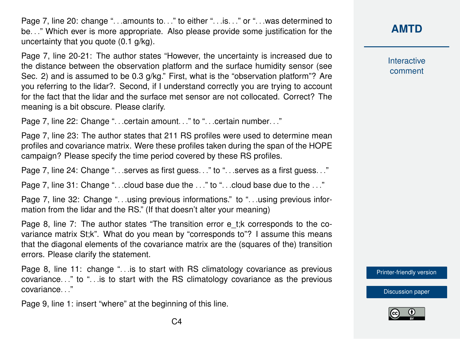Page 7, line 20: change "...amounts to..." to either "...is..." or "...was determined to be. . ." Which ever is more appropriate. Also please provide some justification for the uncertainty that you quote (0.1 g/kg).

Page 7, line 20-21: The author states "However, the uncertainty is increased due to the distance between the observation platform and the surface humidity sensor (see Sec. 2) and is assumed to be 0.3 g/kg." First, what is the "observation platform"? Are you referring to the lidar?. Second, if I understand correctly you are trying to account for the fact that the lidar and the surface met sensor are not collocated. Correct? The meaning is a bit obscure. Please clarify.

Page 7, line 22: Change "...certain amount..." to "...certain number..."

Page 7, line 23: The author states that 211 RS profiles were used to determine mean profiles and covariance matrix. Were these profiles taken during the span of the HOPE campaign? Please specify the time period covered by these RS profiles.

Page 7, line 24: Change "...serves as first guess..." to "...serves as a first guess..."

Page 7, line 31: Change "...cloud base due the ..." to "...cloud base due to the ..."

Page 7, line 32: Change "...using previous informations." to "...using previous information from the lidar and the RS." (If that doesn't alter your meaning)

Page 8, line 7: The author states "The transition error e\_t;k corresponds to the covariance matrix St;k". What do you mean by "corresponds to"? I assume this means that the diagonal elements of the covariance matrix are the (squares of the) transition errors. Please clarify the statement.

Page 8, line 11: change ". . .is to start with RS climatology covariance as previous covariance. . ." to ". . .is to start with the RS climatology covariance as the previous covariance...."

Page 9, line 1: insert "where" at the beginning of this line.

**Interactive** comment

[Printer-friendly version](http://www.atmos-meas-tech-discuss.net/amt-2017-77/amt-2017-77-RC2-print.pdf)



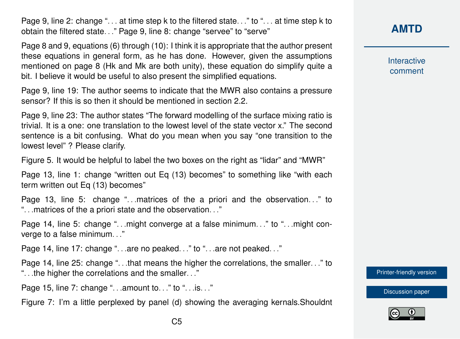Page 9, line 2: change "... at time step k to the filtered state..." to "... at time step k to obtain the filtered state. . ." Page 9, line 8: change "servee" to "serve"

Page 8 and 9, equations (6) through (10): I think it is appropriate that the author present these equations in general form, as he has done. However, given the assumptions mentioned on page 8 (Hk and Mk are both unity), these equation do simplify quite a bit. I believe it would be useful to also present the simplified equations.

Page 9, line 19: The author seems to indicate that the MWR also contains a pressure sensor? If this is so then it should be mentioned in section 2.2.

Page 9, line 23: The author states "The forward modelling of the surface mixing ratio is trivial. It is a one: one translation to the lowest level of the state vector x." The second sentence is a bit confusing. What do you mean when you say "one transition to the lowest level" ? Please clarify.

Figure 5. It would be helpful to label the two boxes on the right as "lidar" and "MWR"

Page 13, line 1: change "written out Eq (13) becomes" to something like "with each term written out Eq (13) becomes"

Page 13, line 5: change "...matrices of the a priori and the observation..." to ". . .matrices of the a priori state and the observation. . ."

Page 14, line 5: change "...might converge at a false minimum..." to "...might converge to a false minimum. . ."

Page 14, line 17: change "...are no peaked..." to "...are not peaked..."

Page 14, line 25: change ". . .that means the higher the correlations, the smaller. . ." to ". . .the higher the correlations and the smaller. . ."

Page 15, line 7: change "...amount to..." to "...is..."

Figure 7: I'm a little perplexed by panel (d) showing the averaging kernals.Shouldnt

### **[AMTD](http://www.atmos-meas-tech-discuss.net/)**

**Interactive** comment

[Printer-friendly version](http://www.atmos-meas-tech-discuss.net/amt-2017-77/amt-2017-77-RC2-print.pdf)

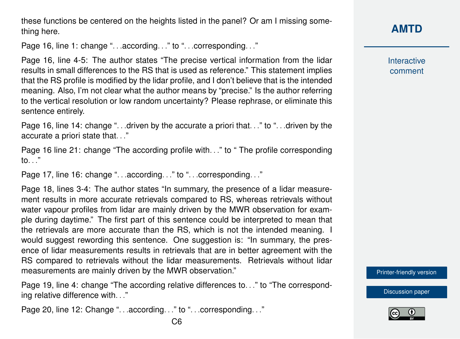these functions be centered on the heights listed in the panel? Or am I missing something here.

Page 16, line 1: change "...according..." to "...corresponding..."

Page 16, line 4-5: The author states "The precise vertical information from the lidar results in small differences to the RS that is used as reference." This statement implies that the RS profile is modified by the lidar profile, and I don't believe that is the intended meaning. Also, I'm not clear what the author means by "precise." Is the author referring to the vertical resolution or low random uncertainty? Please rephrase, or eliminate this sentence entirely.

Page 16, line 14: change "...driven by the accurate a priori that..." to "...driven by the accurate a priori state that. . ."

Page 16 line 21: change "The according profile with. . ." to " The profile corresponding to.  $\cdot$ ."

Page 17, line 16: change "...according..." to "...corresponding..."

Page 18, lines 3-4: The author states "In summary, the presence of a lidar measurement results in more accurate retrievals compared to RS, whereas retrievals without water vapour profiles from lidar are mainly driven by the MWR observation for example during daytime." The first part of this sentence could be interpreted to mean that the retrievals are more accurate than the RS, which is not the intended meaning. I would suggest rewording this sentence. One suggestion is: "In summary, the presence of lidar measurements results in retrievals that are in better agreement with the RS compared to retrievals without the lidar measurements. Retrievals without lidar measurements are mainly driven by the MWR observation."

Page 19, line 4: change "The according relative differences to. . ." to "The corresponding relative difference with. . ."

Page 20, line 12: Change "...according..." to "...corresponding..."

### **[AMTD](http://www.atmos-meas-tech-discuss.net/)**

**Interactive** comment

[Printer-friendly version](http://www.atmos-meas-tech-discuss.net/amt-2017-77/amt-2017-77-RC2-print.pdf)

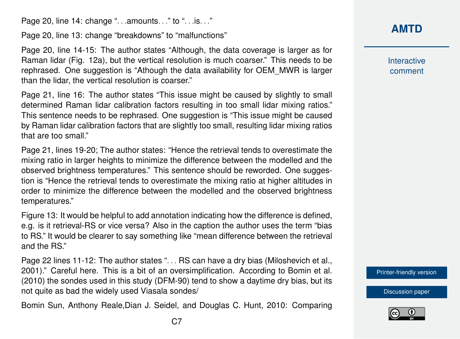Page 20, line 14: change "...amounts..." to "...is..."

Page 20, line 13: change "breakdowns" to "malfunctions"

Page 20, line 14-15: The author states "Although, the data coverage is larger as for Raman lidar (Fig. 12a), but the vertical resolution is much coarser." This needs to be rephrased. One suggestion is "Athough the data availability for OEM\_MWR is larger than the lidar, the vertical resolution is coarser."

Page 21, line 16: The author states "This issue might be caused by slightly to small determined Raman lidar calibration factors resulting in too small lidar mixing ratios." This sentence needs to be rephrased. One suggestion is "This issue might be caused by Raman lidar calibration factors that are slightly too small, resulting lidar mixing ratios that are too small."

Page 21, lines 19-20; The author states: "Hence the retrieval tends to overestimate the mixing ratio in larger heights to minimize the difference between the modelled and the observed brightness temperatures." This sentence should be reworded. One suggestion is "Hence the retrieval tends to overestimate the mixing ratio at higher altitudes in order to minimize the difference between the modelled and the observed brightness temperatures."

Figure 13: It would be helpful to add annotation indicating how the difference is defined, e.g. is it retrieval-RS or vice versa? Also in the caption the author uses the term "bias to RS." It would be clearer to say something like "mean difference between the retrieval and the RS."

Page 22 lines 11-12: The author states "... RS can have a dry bias (Miloshevich et al., 2001)." Careful here. This is a bit of an oversimplification. According to Bomin et al. (2010) the sondes used in this study (DFM-90) tend to show a daytime dry bias, but its not quite as bad the widely used Viasala sondes/

Bomin Sun, Anthony Reale,Dian J. Seidel, and Douglas C. Hunt, 2010: Comparing

### **[AMTD](http://www.atmos-meas-tech-discuss.net/)**

**Interactive** comment

[Printer-friendly version](http://www.atmos-meas-tech-discuss.net/amt-2017-77/amt-2017-77-RC2-print.pdf)